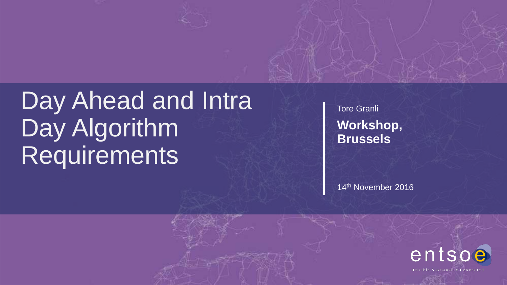# Day Ahead and Intra Day Algorithm Requirements

Tore Granli **Workshop, Brussels**

14th November 2016



Reliable Sustainable Connected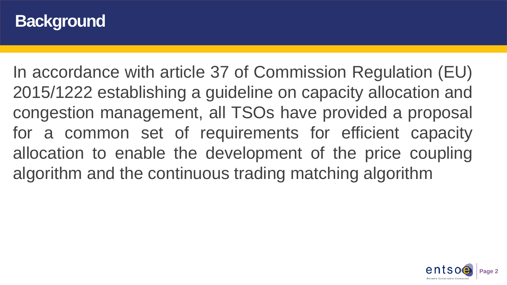#### **Background**

In accordance with article 37 of Commission Regulation (EU) 2015/1222 establishing a guideline on capacity allocation and congestion management, all TSOs have provided a proposal for a common set of requirements for efficient capacity allocation to enable the development of the price coupling algorithm and the continuous trading matching algorithm

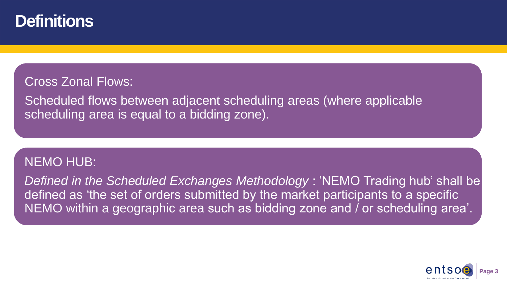#### **Definitions**

#### Cross Zonal Flows:

Scheduled flows between adjacent scheduling areas (where applicable scheduling area is equal to a bidding zone).

#### NEMO HUB:

defined as 'the set of orders submitted by the market participants to a specific *Defined in the Scheduled Exchanges Methodology* : 'NEMO Trading hub' shall be NEMO within a geographic area such as bidding zone and / or scheduling area'.

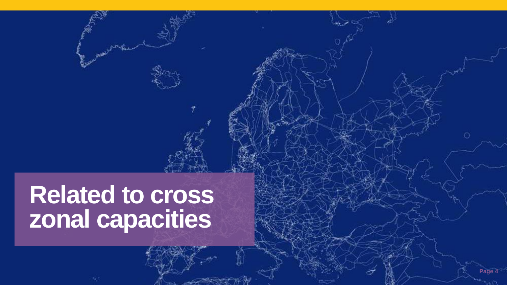# **Related to cross zonal capacities**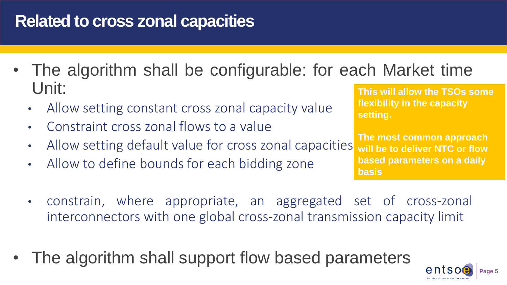### **Related to cross zonal capacities**

- The algorithm shall be configurable: for each Market time Unit:
	- Allow setting constant cross zonal capacity value
	- Constraint cross zonal flows to a value
	- Allow setting default value for cross zonal capacities
	- Allow to define bounds for each bidding zone

**This will allow the TSOs some flexibility in the capacity setting.**

**The most common approach will be to deliver NTC or flow based parameters on a daily basis**

- constrain, where appropriate, an aggregated set of cross-zonal interconnectors with one global cross-zonal transmission capacity limit
- The algorithm shall support flow based parameters

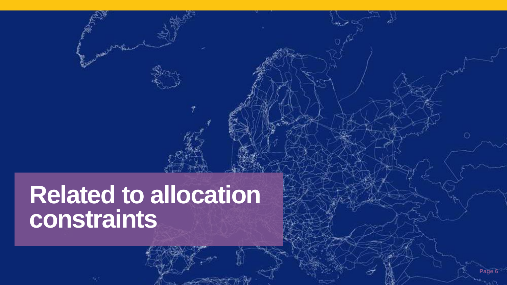# **Related to allocation constraints**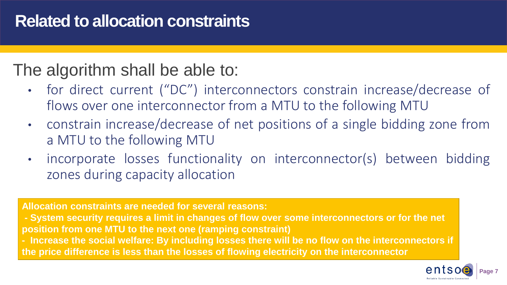#### **Related to allocation constraints**

#### The algorithm shall be able to:

- for direct current ("DC") interconnectors constrain increase/decrease of flows over one interconnector from a MTU to the following MTU
- constrain increase/decrease of net positions of a single bidding zone from a MTU to the following MTU
- incorporate losses functionality on interconnector(s) between bidding zones during capacity allocation

**Allocation constraints are needed for several reasons:**

- **- System security requires a limit in changes of flow over some interconnectors or for the net position from one MTU to the next one (ramping constraint)**
- **- Increase the social welfare: By including losses there will be no flow on the interconnectors if the price difference is less than the losses of flowing electricity on the interconnector**

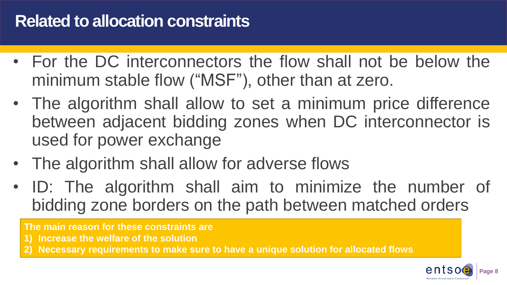#### **Related to allocation constraints**

- For the DC interconnectors the flow shall not be below the minimum stable flow ("MSF"), other than at zero.
- The algorithm shall allow to set a minimum price difference between adjacent bidding zones when DC interconnector is used for power exchange
- The algorithm shall allow for adverse flows
- ID: The algorithm shall aim to minimize the number of bidding zone borders on the path between matched orders

**The main reason for these constraints are**

- **1) Increase the welfare of the solution**
- **2) Necessary requirements to make sure to have a unique solution for allocated flows**

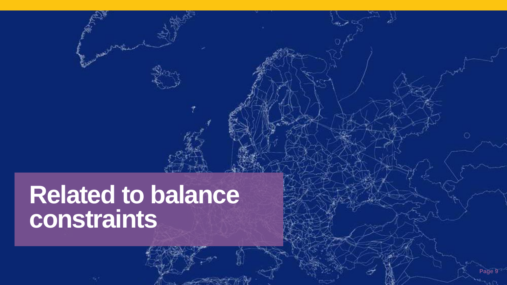# **Related to balance constraints**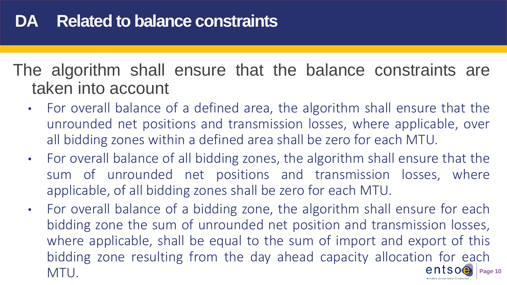The algorithm shall ensure that the balance constraints are taken into account

- For overall balance of a defined area, the algorithm shall ensure that the unrounded net positions and transmission losses, where applicable, over all bidding zones within a defined area shall be zero for each MTU.
- For overall balance of all bidding zones, the algorithm shall ensure that the sum of unrounded net positions and transmission losses, where applicable, of all bidding zones shall be zero for each MTU.
- **Page 10** • For overall balance of a bidding zone, the algorithm shall ensure for each bidding zone the sum of unrounded net position and transmission losses, where applicable, shall be equal to the sum of import and export of this bidding zone resulting from the day ahead capacity allocation for each  $n_A$ TII MTU.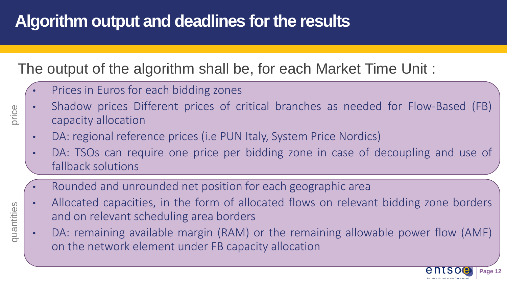#### The output of the algorithm shall be, for each Market Time Unit :

- Prices in Euros for each bidding zones
- Shadow prices Different prices of critical branches as needed for Flow-Based (FB) capacity allocation
	- DA: regional reference prices (i.e PUN Italy, System Price Nordics)
	- DA: TSOs can require one price per bidding zone in case of decoupling and use of fallback solutions
	- Rounded and unrounded net position for each geographic area
	- Allocated capacities, in the form of allocated flows on relevant bidding zone borders and on relevant scheduling area borders
	- DA: remaining available margin (RAM) or the remaining allowable power flow (AMF) on the network element under FB capacity allocation



price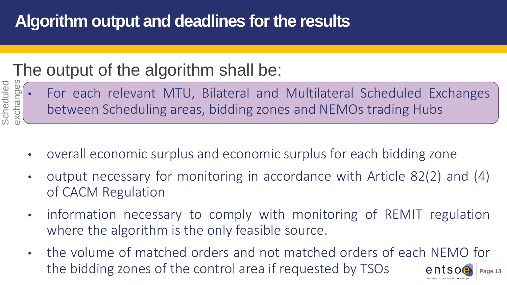### The output of the algorithm shall be:



- overall economic surplus and economic surplus for each bidding zone
- output necessary for monitoring in accordance with Article 82(2) and (4) of CACM Regulation
- information necessary to comply with monitoring of REMIT regulation where the algorithm is the only feasible source.
- the volume of matched orders and not matched orders of each NEMO for the bidding zones of the control area if requested by TSOs entsoe **Page 13**